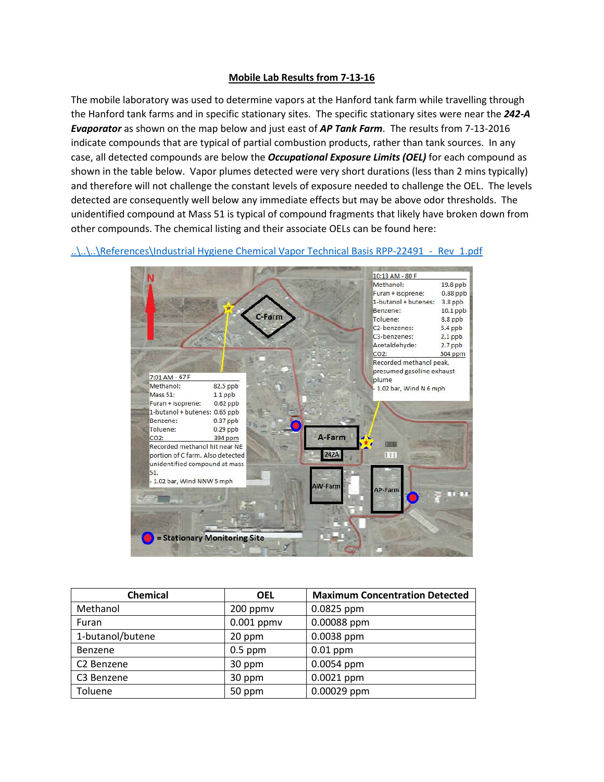## **Mobile Lab Results from 7-13-16**

The mobile laboratory was used to determine vapors at the Hanford tank farm while travelling through the Hanford tank farms and in specific stationary sites. The specific stationary sites were near the *242-A Evaporator* as shown on the map below and just east of *AP Tank Farm*. The results from 7-13-2016 indicate compounds that are typical of partial combustion products, rather than tank sources. In any case, all detected compounds are below the *Occupational Exposure Limits (OEL)* for each compound as shown in the table below. Vapor plumes detected were very short durations (less than 2 mins typically) and therefore will not challenge the constant levels of exposure needed to challenge the OEL. The levels detected are consequently well below any immediate effects but may be above odor thresholds. The unidentified compound at Mass 51 is typical of compound fragments that likely have broken down from other compounds. The chemical listing and their associate OELs can be found here:

## ..\..\..\References\Industrial Hygiene Chemical Vapor Technical Basis RPP-22491 - Rev\_1.pdf



| <b>Chemical</b>        | <b>OEL</b>   | <b>Maximum Concentration Detected</b> |
|------------------------|--------------|---------------------------------------|
| Methanol               | 200 ppmv     | $0.0825$ ppm                          |
| Furan                  | $0.001$ ppmv | 0.00088 ppm                           |
| 1-butanol/butene       | 20 ppm       | $0.0038$ ppm                          |
| Benzene                | $0.5$ ppm    | $0.01$ ppm                            |
| C <sub>2</sub> Benzene | 30 ppm       | $0.0054$ ppm                          |
| C3 Benzene             | 30 ppm       | $0.0021$ ppm                          |
| Toluene                | 50 ppm       | 0.00029 ppm                           |